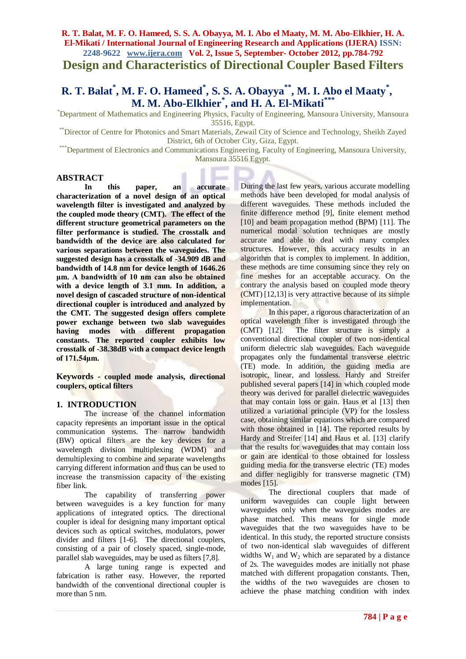**Design and Characteristics of Directional Coupler Based Filters**

# **R. T. Balat\* , M. F. O. Hameed\* , S. S. A. Obayya\*\*, M. I. Abo el Maaty\* , M. M. Abo-Elkhier\* , and H. A. El-Mikati\*\*\***

\*Department of Mathematics and Engineering Physics, Faculty of Engineering, Mansoura University, Mansoura 35516, Egypt.

\*\*Director of Centre for Photonics and Smart Materials, Zewail City of Science and Technology, Sheikh Zayed District, 6th of October City, Giza, Egypt.

\*\*\*Department of Electronics and Communications Engineering, Faculty of Engineering, Mansoura University, Mansoura 35516 Egypt.

#### **ABSTRACT**

**In this paper, an accurate characterization of a novel design of an optical wavelength filter is investigated and analyzed by the coupled mode theory (CMT). The effect of the different structure geometrical parameters on the filter performance is studied. The crosstalk and bandwidth of the device are also calculated for various separations between the waveguides. The suggested design has a crosstalk of -34.909 dB and bandwidth of 14.8 nm for device length of 1646.26 μm. A bandwidth of 10 nm can also be obtained with a device length of 3.1 mm. In addition, a novel design of cascaded structure of non-identical directional coupler is introduced and analyzed by the CMT. The suggested design offers complete power exchange between two slab waveguides having modes with different propagation constants. The reported coupler exhibits low crosstalk of -38.38dB with a compact device length of 171.54μm.**

**Keywords - coupled mode analysis, directional couplers, optical filters**

#### **1. INTRODUCTION**

The increase of the channel information capacity represents an important issue in the optical communication systems. The narrow bandwidth (BW) optical filters are the key devices for a wavelength division multiplexing (WDM) and demultiplexing to combine and separate wavelengths carrying different information and thus can be used to increase the transmission capacity of the existing fiber link.

The capability of transferring power between waveguides is a key function for many applications of integrated optics. The directional coupler is ideal for designing many important optical devices such as optical switches, modulators, power divider and filters [1-6]. The directional couplers, consisting of a pair of closely spaced, single-mode, parallel slab waveguides, may be used as filters [7,8].

A large tuning range is expected and fabrication is rather easy. However, the reported bandwidth of the conventional directional coupler is more than 5 nm.

During the last few years, various accurate modelling methods have been developed for modal analysis of different waveguides. These methods included the finite difference method [9], finite element method [10] and beam propagation method (BPM) [11]. The numerical modal solution techniques are mostly accurate and able to deal with many complex structures. However, this accuracy results in an algorithm that is complex to implement. In addition, these methods are time consuming since they rely on fine meshes for an acceptable accuracy. On the contrary the analysis based on coupled mode theory (CMT) [12,13] is very attractive because of its simple implementation.

In this paper, a rigorous characterization of an optical wavelength filter is investigated through the (CMT) [12]. The filter structure is simply a conventional directional coupler of two non-identical uniform dielectric slab waveguides. Each waveguide propagates only the fundamental transverse electric (TE) mode. In addition, the guiding media are isotropic, linear, and lossless. Hardy and Streifer published several papers [14] in which coupled mode theory was derived for parallel dielectric waveguides that may contain loss or gain. Haus et al [13] then utilized a variational principle (VP) for the lossless case, obtaining similar equations which are compared with those obtained in [14]. The reported results by Hardy and Streifer [14] and Haus et al. [13] clarify that the results for waveguides that may contain loss or gain are identical to those obtained for lossless guiding media for the transverse electric (TE) modes and differ negligibly for transverse magnetic (TM) modes [15].

The directional couplers that made of uniform waveguides can couple light between waveguides only when the waveguides modes are phase matched. This means for single mode waveguides that the two waveguides have to be identical. In this study, the reported structure consists of two non-identical slab waveguides of different widths  $W_1$  and  $W_2$  which are separated by a distance of 2s. The waveguides modes are initially not phase matched with different propagation constants. Then, the widths of the two waveguides are chosen to achieve the phase matching condition with index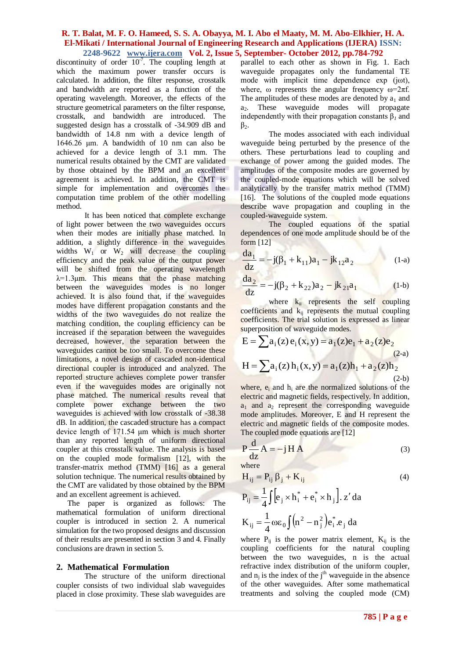discontinuity of order  $10^{-7}$ . The coupling length at which the maximum power transfer occurs is calculated. In addition, the filter response, crosstalk and bandwidth are reported as a function of the operating wavelength. Moreover, the effects of the structure geometrical parameters on the filter response, crosstalk, and bandwidth are introduced. The suggested design has a crosstalk of -34.909 dB and bandwidth of 14.8 nm with a device length of 1646.26 μm. A bandwidth of 10 nm can also be achieved for a device length of 3.1 mm. The numerical results obtained by the CMT are validated by those obtained by the BPM and an excellent agreement is achieved. In addition, the CMT is simple for implementation and overcomes the computation time problem of the other modelling method.

It has been noticed that complete exchange of light power between the two waveguides occurs when their modes are initially phase matched. In addition, a slightly difference in the waveguides widths  $W_1$  or  $W_2$  will decrease the coupling efficiency and the peak value of the output power will be shifted from the operating wavelength  $\lambda = 1.3 \mu m$ . This means that the phase matching between the waveguides modes is no longer achieved. It is also found that, if the waveguides modes have different propagation constants and the widths of the two waveguides do not realize the matching condition, the coupling efficiency can be increased if the separation between the waveguides decreased, however, the separation between the waveguides cannot be too small. To overcome these limitations, a novel design of cascaded non-identical directional coupler is introduced and analyzed. The reported structure achieves complete power transfer even if the waveguides modes are originally not phase matched. The numerical results reveal that complete power exchange between the two waveguides is achieved with low crosstalk of -38.38 dB. In addition, the cascaded structure has a compact device length of 171.54 μm which is much shorter than any reported length of uniform directional coupler at this crosstalk value. The analysis is based on the coupled mode formalism [12], with the transfer-matrix method (TMM) [16] as a general solution technique. The numerical results obtained by the CMT are validated by those obtained by the BPM and an excellent agreement is achieved.

The paper is organized as follows: The mathematical formulation of uniform directional coupler is introduced in section 2. A numerical simulation for the two proposed designs and discussion of their results are presented in section 3 and 4. Finally conclusions are drawn in section 5.

#### **2. Mathematical Formulation**

The structure of the uniform directional coupler consists of two individual slab waveguides placed in close proximity. These slab waveguides are

parallel to each other as shown in Fig. 1. Each waveguide propagates only the fundamental TE mode with implicit time dependence exp (jωt), where,  $\omega$  represents the angular frequency  $\omega = 2\pi f$ . The amplitudes of these modes are denoted by  $a_1$  and  $a_2$ . These waveguide modes will propagate independently with their propagation constants β*<sup>1</sup>* and  $\beta_2$ .

The modes associated with each individual waveguide being perturbed by the presence of the others. These perturbations lead to coupling and exchange of power among the guided modes. The amplitudes of the composite modes are governed by the coupled-mode equations which will be solved analytically by the transfer matrix method (TMM) [16]. The solutions of the coupled mode equations describe wave propagation and coupling in the coupled-waveguide system.

The coupled equations of the spatial dependences of one mode amplitude should be of the form [12]

$$
\frac{da_1}{dz} = -j(\beta_1 + k_{11})a_1 - jk_{12}a_2 \qquad (1-a)
$$

$$
\frac{da_2}{dz} = -j(\beta_2 + k_{22})a_2 - jk_{21}a_1
$$
 (1-b)

where  $k_{ii}$  represents the self coupling coefficients and  $k_{ii}$  represents the mutual coupling coefficients. The trial solution is expressed as linear superposition of waveguide modes.

$$
E = \sum a_i(z) e_i(x, y) = a_1(z) e_1 + a_2(z) e_2
$$
  
(2-a)  

$$
H = \sum a_i(z) h_i(x, y) = a_1(z) h_1 + a_2(z) h_2
$$
  
(2-b)

where,  $e_i$  and  $h_i$  are the normalized solutions of the electric and magnetic fields, respectively. In addition,  $a_1$  and  $a_2$  represent the corresponding waveguide mode amplitudes. Moreover, E and H represent the electric and magnetic fields of the composite modes. The coupled mode equations are [12]

$$
P\frac{d}{dz}A = -jHA
$$
 (3)

where **the contract of the contract of the contract of the contract of the contract of the contract of the contract of the contract of the contract of the contract of the contract of the contract of the contract of the con** 

$$
H_{ij} = P_{ij} \beta_j + K_{ij} \tag{4}
$$

$$
P_{ij} = \frac{1}{4} \int \left[ e_j \times h_i^* + e_i^* \times h_j \right]. z' da
$$
  

$$
K_{ij} = \frac{1}{4} \omega \varepsilon_0 \int (n^2 - n_j^2) e_i^* . e_j da
$$

where  $P_{ij}$  is the power matrix element,  $K_{ij}$  is the coupling coefficients for the natural coupling between the two waveguides, n is the actual refractive index distribution of the uniform coupler, and  $n_j$  is the index of the j<sup>th</sup> waveguide in the absence of the other waveguides. After some mathematical treatments and solving the coupled mode (CM)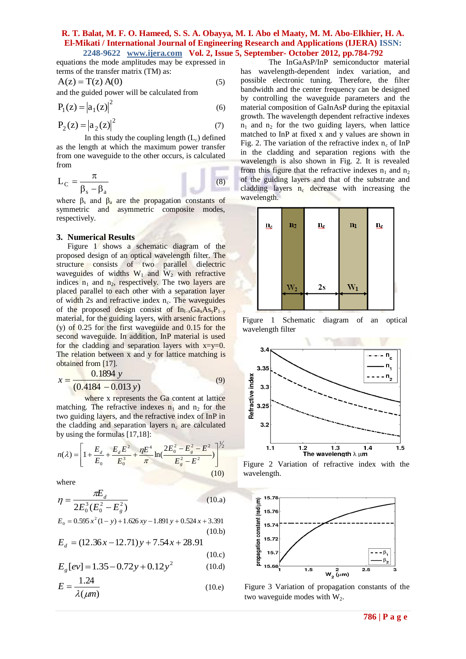equations the mode amplitudes may be expressed in terms of the transfer matrix (TM) as:

$$
A(z) = T(z) A(0)
$$
 (5)

and the guided power will be calculated from

$$
P_1(z) = |a_1(z)|^2
$$
(6)  

$$
P_2(z) = |a_2(z)|^2
$$
(7)

In this study the coupling length  $(L<sub>c</sub>)$  defined as the length at which the maximum power transfer from one waveguide to the other occurs, is calculated from

$$
L_C = \frac{\pi}{\beta_s - \beta_a}
$$
 (8)

where  $\beta_s$  and  $\beta_a$  are the propagation constants of symmetric and asymmetric composite modes, respectively.

#### **3. Numerical Results**

Figure 1 shows a schematic diagram of the proposed design of an optical wavelength filter. The structure consists of two parallel dielectric waveguides of widths  $W_1$  and  $W_2$  with refractive indices  $n_1$  and  $n_2$ , respectively. The two layers are placed parallel to each other with a separation layer of width 2s and refractive index  $n_c$ . The waveguides of the proposed design consist of  $In_{1-x}Ga_xAs_vP_{1-y}$ material, for the guiding layers, with arsenic fractions (y) of 0.25 for the first waveguide and 0.15 for the second waveguide. In addition, InP material is used for the cladding and separation layers with  $x=y=0$ . The relation between x and y for lattice matching is obtained from [17].

$$
x = \frac{0.1894 \text{ y}}{(0.4184 - 0.013 \text{ y})}
$$
(9)

where x represents the Ga content at lattice matching. The refractive indexes  $n_1$  and  $n_2$  for the two guiding layers, and the refractive index of InP in the cladding and separation layers  $n_c$  are calculated by using the formulas [17,18]:

$$
n(\lambda) = \left[1 + \frac{E_d}{E_0} + \frac{E_d E^2}{E_0^3} + \frac{\eta E^4}{\pi} \ln\left(\frac{2E_0^2 - E_g^2 - E^2}{E_g^2 - E^2}\right)\right]^{1/2}
$$
\n(10)

where

$$
\eta = \frac{\pi E_d}{2E_0^3 (E_0^2 - E_g^2)}
$$
(10.a)

$$
E_0 = 0.595 x^2 (1 - y) + 1.626 xy - 1.891 y + 0.524 x + 3.391
$$
\n(10.b)

$$
E_d = (12.36x - 12.71)y + 7.54x + 28.91
$$

$$
(10.c)
$$

$$
E_g[ev] = 1.35 - 0.72y + 0.12y^2 \tag{10.d}
$$

$$
E = \frac{1.24}{\lambda(\mu m)}\tag{10.e}
$$

The InGaAsP/InP semiconductor material has wavelength-dependent index variation, and possible electronic tuning. Therefore, the filter bandwidth and the center frequency can be designed by controlling the waveguide parameters and the material composition of GaInAsP during the epitaxial growth. The wavelength dependent refractive indexes  $n_1$  and  $n_2$  for the two guiding layers, when lattice matched to InP at fixed x and y values are shown in Fig. 2. The variation of the refractive index  $n_c$  of InP in the cladding and separation regions with the wavelength is also shown in Fig. 2. It is revealed from this figure that the refractive indexes  $n_1$  and  $n_2$ of the guiding layers and that of the substrate and cladding layers  $n_c$  decrease with increasing the wavelength.



Figure 1 Schematic diagram of an optical wavelength filter



wavelength.



Figure 3 Variation of propagation constants of the two waveguide modes with  $W_2$ .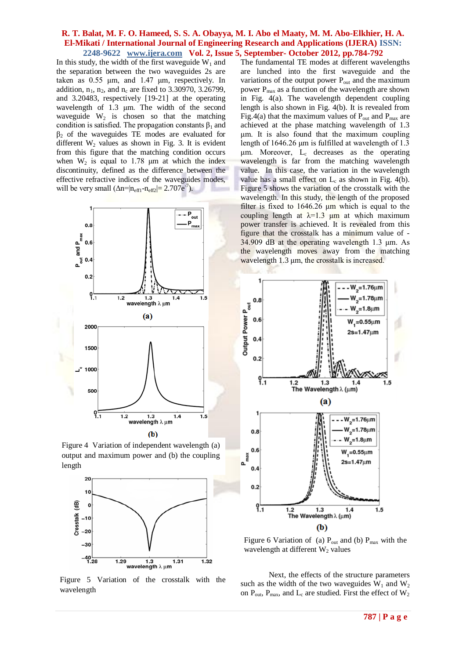In this study, the width of the first waveguide  $W_1$  and the separation between the two waveguides 2s are taken as 0.55 μm, and 1.47 μm, respectively. In addition,  $n_1$ ,  $n_2$ , and  $n_c$  are fixed to 3.30970, 3.26799, and 3.20483, respectively [19-21] at the operating wavelength of 1.3 μm. The width of the second waveguide  $W_2$  is chosen so that the matching condition is satisfied. The propagation constants  $\beta_1$  and  $β<sub>2</sub>$  of the waveguides TE modes are evaluated for different  $W_2$  values as shown in Fig. 3. It is evident from this figure that the matching condition occurs when  $W_2$  is equal to 1.78  $\mu$ m at which the index discontinuity, defined as the difference between the effective refractive indices of the waveguides modes, will be very small  $(\Delta n = |n_{\text{eff1}} - n_{\text{eff2}}| = 2.707 e^{-7})$ .



Figure 4 Variation of independent wavelength (a) output and maximum power and (b) the coupling length



Figure 5 Variation of the crosstalk with the wavelength

The fundamental TE modes at different wavelengths are lunched into the first waveguide and the variations of the output power  $P_{out}$  and the maximum power  $P_{\text{max}}$  as a function of the wavelength are shown in Fig. 4(a). The wavelength dependent coupling length is also shown in Fig. 4(b). It is revealed from Fig.4(a) that the maximum values of  $P_{out}$  and  $P_{max}$  are achieved at the phase matching wavelength of 1.3 μm. It is also found that the maximum coupling length of 1646.26 μm is fulfilled at wavelength of 1.3 μm. Moreover, L<sub>c</sub> decreases as the operating wavelength is far from the matching wavelength value. In this case, the variation in the wavelength value has a small effect on  $L_c$  as shown in Fig. 4(b). Figure 5 shows the variation of the crosstalk with the wavelength. In this study, the length of the proposed filter is fixed to  $1646.26 \mu m$  which is equal to the coupling length at  $\lambda=1.3$  μm at which maximum power transfer is achieved. It is revealed from this figure that the crosstalk has a minimum value of - 34.909 dB at the operating wavelength 1.3 μm. As the wavelength moves away from the matching wavelength 1.3 μm, the crosstalk is increased.



Figure 6 Variation of (a)  $P_{out}$  and (b)  $P_{max}$  with the wavelength at different  $W_2$  values

Next, the effects of the structure parameters such as the width of the two waveguides  $W_1$  and  $W_2$ on  $P_{out}$ ,  $P_{max}$ , and  $L_c$  are studied. First the effect of  $W_2$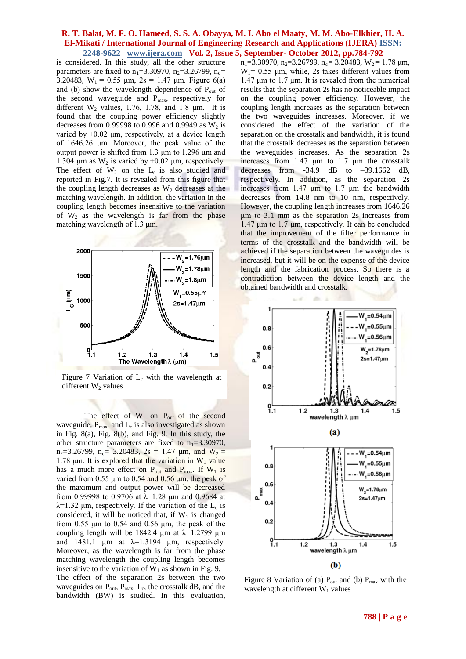is considered. In this study, all the other structure parameters are fixed to  $n_1 = 3.30970$ ,  $n_2 = 3.26799$ ,  $n_c =$ 3.20483,  $W_1 = 0.55$   $\mu$ m,  $2s = 1.47$   $\mu$ m. Figure 6(a) and (b) show the wavelength dependence of  $P_{out}$  of the second waveguide and  $P_{\text{max}}$ , respectively for different  $W_2$  values, 1.76, 1.78, and 1.8  $\mu$ m. It is found that the coupling power efficiency slightly decreases from 0.99998 to 0.996 and 0.9949 as  $W_2$  is varied by  $\pm 0.02$  μm, respectively, at a device length of 1646.26 μm. Moreover, the peak value of the output power is shifted from 1.3 μm to 1.296 μm and 1.304 μm as  $W_2$  is varied by  $\pm 0.02$  μm, respectively. The effect of  $W_2$  on the  $L_c$  is also studied and reported in Fig.7. It is revealed from this figure that the coupling length decreases as  $W_2$  decreases at the matching wavelength. In addition, the variation in the coupling length becomes insensitive to the variation of  $W_2$  as the wavelength is far from the phase matching wavelength of 1.3 μm.



Figure 7 Variation of  $L_c$  with the wavelength at different  $W_2$  values

The effect of  $W_1$  on  $P_{out}$  of the second waveguide,  $P_{max}$ , and  $L_c$  is also investigated as shown in Fig. 8(a), Fig. 8(b), and Fig. 9. In this study, the other structure parameters are fixed to  $n_1=3.30970$ , n<sub>2</sub>=3.26799, n<sub>c</sub>= 3.20483, 2s = 1.47 μm, and W<sub>2</sub> = 1.78 μm. It is explored that the variation in  $W_1$  value has a much more effect on  $P_{out}$  and  $P_{max}$ . If  $W_1$  is varied from 0.55  $\mu$ m to 0.54 and 0.56  $\mu$ m, the peak of the maximum and output power will be decreased from 0.99998 to 0.9706 at  $\lambda$ =1.28 µm and 0.9684 at  $\lambda$ =1.32  $\mu$ m, respectively. If the variation of the L<sub>c</sub> is considered, it will be noticed that, if  $W_1$  is changed from  $0.55 \mu m$  to  $0.54$  and  $0.56 \mu m$ , the peak of the coupling length will be 1842.4  $\mu$ m at  $\lambda$ =1.2799  $\mu$ m and 1481.1  $\mu$ m at  $\lambda$ =1.3194  $\mu$ m, respectively. Moreover, as the wavelength is far from the phase matching wavelength the coupling length becomes insensitive to the variation of  $W_1$  as shown in Fig. 9. The effect of the separation 2s between the two waveguides on  $P_{out}$ ,  $P_{max}$ ,  $L_c$ , the crosstalk dB, and the bandwidth (BW) is studied. In this evaluation,

n<sub>1</sub>=3.30970, n<sub>2</sub>=3.26799, n<sub>c</sub>= 3.20483, W<sub>2</sub>= 1.78 μm,  $W_1$ = 0.55 µm, while, 2s takes different values from 1.47 μm to 1.7 μm. It is revealed from the numerical results that the separation 2s has no noticeable impact on the coupling power efficiency. However, the coupling length increases as the separation between the two waveguides increases. Moreover, if we considered the effect of the variation of the separation on the crosstalk and bandwidth, it is found that the crosstalk decreases as the separation between the waveguides increases. As the separation 2s increases from 1.47 μm to 1.7 μm the crosstalk decreases from  $-34.9$  dB to  $-39.1662$  dB, respectively. In addition, as the separation 2s increases from 1.47 μm to 1.7 μm the bandwidth decreases from 14.8 nm to 10 nm, respectively. However, the coupling length increases from 1646.26 μm to 3.1 mm as the separation 2s increases from 1.47 μm to 1.7 μm, respectively. It can be concluded that the improvement of the filter performance in terms of the crosstalk and the bandwidth will be achieved if the separation between the waveguides is increased, but it will be on the expense of the device length and the fabrication process. So there is a contradiction between the device length and the obtained bandwidth and crosstalk.



Figure 8 Variation of (a)  $P_{out}$  and (b)  $P_{max}$  with the wavelength at different  $W_1$  values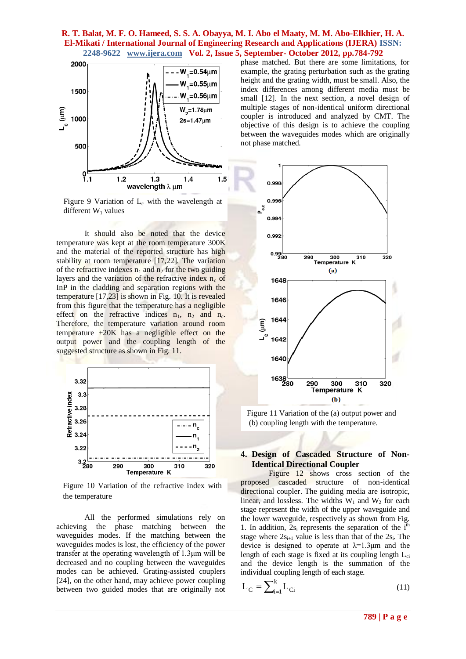

Figure 9 Variation of  $L_c$  with the wavelength at different  $W_1$  values

It should also be noted that the device temperature was kept at the room temperature 300K and the material of the reported structure has high stability at room temperature [17,22]. The variation of the refractive indexes  $n_1$  and  $n_2$  for the two guiding layers and the variation of the refractive index  $n_c$  of InP in the cladding and separation regions with the temperature [17,23] is shown in Fig. 10. It is revealed from this figure that the temperature has a negligible effect on the refractive indices  $n_1$ ,  $n_2$  and  $n_c$ . Therefore, the temperature variation around room temperature  $\pm 20K$  has a negligible effect on the output power and the coupling length of the suggested structure as shown in Fig. 11.



Figure 10 Variation of the refractive index with the temperature

All the performed simulations rely on achieving the phase matching between the waveguides modes. If the matching between the waveguides modes is lost, the efficiency of the power transfer at the operating wavelength of 1.3μm will be decreased and no coupling between the waveguides modes can be achieved. Grating-assisted couplers [24], on the other hand, may achieve power coupling between two guided modes that are originally not

phase matched. But there are some limitations, for example, the grating perturbation such as the grating height and the grating width, must be small. Also, the index differences among different media must be small [12]. In the next section, a novel design of multiple stages of non-identical uniform directional coupler is introduced and analyzed by CMT. The objective of this design is to achieve the coupling between the waveguides modes which are originally not phase matched.



Figure 11 Variation of the (a) output power and (b) coupling length with the temperature.

# **4. Design of Cascaded Structure of Non-Identical Directional Coupler**

Figure 12 shows cross section of the proposed cascaded structure of non-identical directional coupler. The guiding media are isotropic, linear, and lossless. The widths  $W_1$  and  $W_2$  for each stage represent the width of the upper waveguide and the lower waveguide, respectively as shown from Fig. 1. In addition,  $2s_i$  represents the separation of the  $i<sup>th</sup>$ stage where  $2s_{i+1}$  value is less than that of the  $2s_i$ . The device is designed to operate at  $\lambda = 1.3 \mu m$  and the length of each stage is fixed at its coupling length  $L_{ci}$ and the device length is the summation of the individual coupling length of each stage.

$$
L_C = \sum_{i=1}^{k} L_{Ci} \tag{11}
$$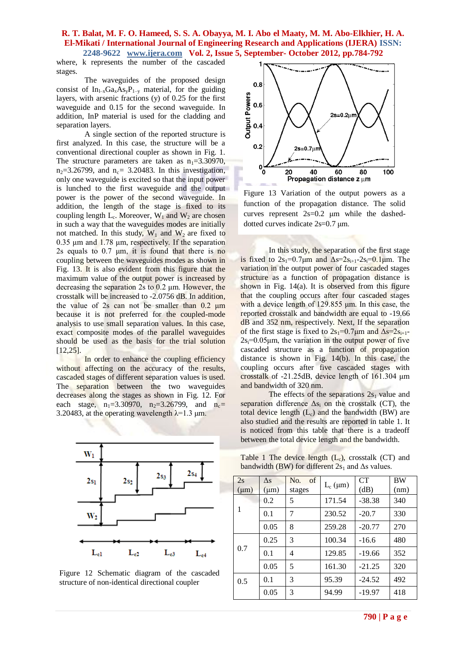where, k represents the number of the cascaded stages.

The waveguides of the proposed design consist of  $In_{1-x}Ga_xAs_vP_{1-y}$  material, for the guiding layers, with arsenic fractions (y) of 0.25 for the first waveguide and 0.15 for the second waveguide. In addition, InP material is used for the cladding and separation layers.

A single section of the reported structure is first analyzed. In this case, the structure will be a conventional directional coupler as shown in Fig. 1. The structure parameters are taken as  $n_1=3.30970$ ,  $n_2$ =3.26799, and  $n_c$ = 3.20483. In this investigation, only one waveguide is excited so that the input power is lunched to the first waveguide and the output power is the power of the second waveguide. In addition, the length of the stage is fixed to its coupling length  $L_c$ . Moreover,  $W_1$  and  $W_2$  are chosen in such a way that the waveguides modes are initially not matched. In this study,  $W_1$  and  $W_2$  are fixed to 0.35 μm and 1.78 μm, respectively. If the separation 2s equals to  $0.7 \mu m$ , it is found that there is no coupling between the waveguides modes as shown in Fig. 13. It is also evident from this figure that the maximum value of the output power is increased by decreasing the separation 2s to 0.2 μm. However, the crosstalk will be increased to -2.0756 dB. In addition, the value of 2s can not be smaller than 0.2 μm because it is not preferred for the coupled-mode analysis to use small separation values. In this case, exact composite modes of the parallel waveguides should be used as the basis for the trial solution [12,25].

In order to enhance the coupling efficiency without affecting on the accuracy of the results, cascaded stages of different separation values is used. The separation between the two waveguides decreases along the stages as shown in Fig. 12. For each stage,  $n_1=3.30970$ ,  $n_2=3.26799$ , and  $n_c=$ 3.20483, at the operating wavelength  $\lambda$ =1.3  $\mu$ m.



Figure 12 Schematic diagram of the cascaded structure of non-identical directional coupler



Figure 13 Variation of the output powers as a function of the propagation distance. The solid curves represent 2s=0.2 μm while the dasheddotted curves indicate 2s=0.7 μm.

In this study, the separation of the first stage is fixed to  $2s_1=0.7\mu m$  and  $\Delta s=2s_{i+1}-2s_i=0.1\mu m$ . The variation in the output power of four cascaded stages structure as a function of propagation distance is shown in Fig. 14(a). It is observed from this figure that the coupling occurs after four cascaded stages with a device length of  $129.855 \mu m$ . In this case, the reported crosstalk and bandwidth are equal to -19.66 dB and 352 nm, respectively. Next, If the separation of the first stage is fixed to  $2s_1=0.7\mu m$  and  $\Delta s=2s_{i+1}$ - $2s = 0.05$ um, the variation in the output power of five cascaded structure as a function of propagation distance is shown in Fig. 14(b). In this case, the coupling occurs after five cascaded stages with crosstalk of -21.25dB, device length of 161.304 μm and bandwidth of 320 nm.

The effects of the separations  $2s_1$  value and separation difference  $\Delta s_i$  on the crosstalk (CT), the total device length  $(L_c)$  and the bandwidth (BW) are also studied and the results are reported in table 1. It is noticed from this table that there is a tradeoff between the total device length and the bandwidth.

Table 1 The device length  $(L_c)$ , crosstalk  $(CT)$  and bandwidth (BW) for different  $2s_1$  and  $\Delta s$  values.

| 2s<br>$(\mu m)$ | $\Delta$ s<br>$(\mu m)$ | $\sigma$<br>N <sub>O</sub> .<br>stages | $L_c$ ( $\mu$ m) | CT<br>(dB) | <b>BW</b><br>(nm) |
|-----------------|-------------------------|----------------------------------------|------------------|------------|-------------------|
| 1               | 0.2                     | 5                                      | 171.54           | $-38.38$   | 340               |
|                 | 0.1                     | 7                                      | 230.52           | $-20.7$    | 330               |
|                 | 0.05                    | 8                                      | 259.28           | $-20.77$   | 270               |
| 0.7             | 0.25                    | 3                                      | 100.34           | $-16.6$    | 480               |
|                 | 0.1                     | 4                                      | 129.85           | $-19.66$   | 352               |
|                 | 0.05                    | 5                                      | 161.30           | $-21.25$   | 320               |
| 0.5             | 0.1                     | 3                                      | 95.39            | $-24.52$   | 492               |
|                 | 0.05                    | 3                                      | 94.99            | $-19.97$   | 418               |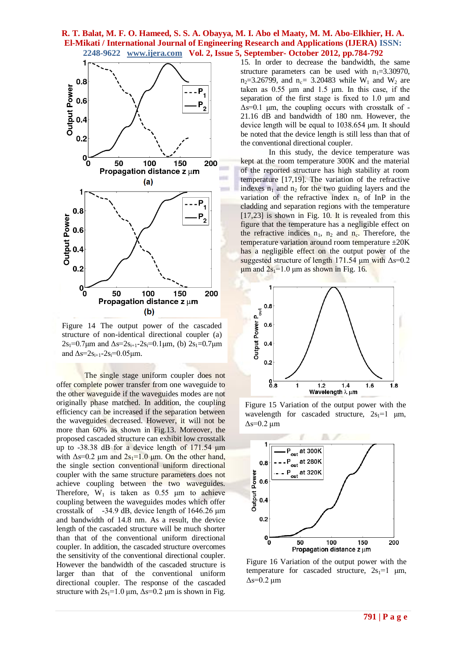

Figure 14 The output power of the cascaded structure of non-identical directional coupler (a)  $2s_1=0.7\mu m$  and  $\Delta s=2s_{i+1}-2s_i=0.1\mu m$ , (b)  $2s_1=0.7\mu m$ and  $\Delta s = 2s_{i+1} - 2s_i = 0.05 \mu m$ .

The single stage uniform coupler does not offer complete power transfer from one waveguide to the other waveguide if the waveguides modes are not originally phase matched. In addition, the coupling efficiency can be increased if the separation between the waveguides decreased. However, it will not be more than 60% as shown in Fig.13. Moreover, the proposed cascaded structure can exhibit low crosstalk up to -38.38 dB for a device length of 171.54 μm with  $\Delta s = 0.2$  μm and  $2s_1 = 1.0$  μm. On the other hand, the single section conventional uniform directional coupler with the same structure parameters does not achieve coupling between the two waveguides. Therefore,  $W_1$  is taken as 0.55  $\mu$ m to achieve coupling between the waveguides modes which offer crosstalk of -34.9 dB, device length of 1646.26 μm and bandwidth of 14.8 nm. As a result, the device length of the cascaded structure will be much shorter than that of the conventional uniform directional coupler. In addition, the cascaded structure overcomes the sensitivity of the conventional directional coupler. However the bandwidth of the cascaded structure is larger than that of the conventional uniform directional coupler. The response of the cascaded structure with  $2s_1=1.0 \mu m$ ,  $\Delta s=0.2 \mu m$  is shown in Fig.

15. In order to decrease the bandwidth, the same structure parameters can be used with  $n_1=3.30970$ ,  $n_2$ =3.26799, and  $n_c$ = 3.20483 while W<sub>1</sub> and W<sub>2</sub> are taken as 0.55 μm and 1.5 μm. In this case, if the separation of the first stage is fixed to 1.0 μm and  $\Delta s = 0.1$  μm, the coupling occurs with crosstalk of -21.16 dB and bandwidth of 180 nm. However, the device length will be equal to 1038.654 μm. It should be noted that the device length is still less than that of the conventional directional coupler.

In this study, the device temperature was kept at the room temperature 300K and the material of the reported structure has high stability at room temperature [17,19]. The variation of the refractive indexes  $n_1$  and  $n_2$  for the two guiding layers and the variation of the refractive index  $n_c$  of InP in the cladding and separation regions with the temperature [17,23] is shown in Fig. 10. It is revealed from this figure that the temperature has a negligible effect on the refractive indices  $n_1$ ,  $n_2$  and  $n_c$ . Therefore, the temperature variation around room temperature  $\pm 20$ K has a negligible effect on the output power of the suggested structure of length 171.54 μm with  $\Delta s = 0.2$ μm and  $2s<sub>1</sub>=1.0$  μm as shown in Fig. 16.



Figure 15 Variation of the output power with the wavelength for cascaded structure,  $2s_1=1 \mu m$ ,  $Δs=0.2 \mu m$ 



Figure 16 Variation of the output power with the temperature for cascaded structure,  $2s_1=1$  μm,  $Δs=0.2$  μm